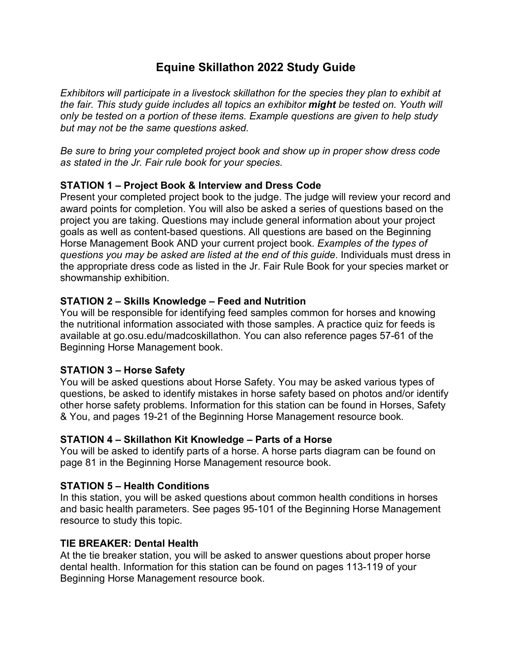# **Equine Skillathon 2022 Study Guide**

*Exhibitors will participate in a livestock skillathon for the species they plan to exhibit at the fair. This study guide includes all topics an exhibitor might be tested on. Youth will only be tested on a portion of these items. Example questions are given to help study but may not be the same questions asked.*

*Be sure to bring your completed project book and show up in proper show dress code as stated in the Jr. Fair rule book for your species.*

## **STATION 1 – Project Book & Interview and Dress Code**

Present your completed project book to the judge. The judge will review your record and award points for completion. You will also be asked a series of questions based on the project you are taking. Questions may include general information about your project goals as well as content-based questions. All questions are based on the Beginning Horse Management Book AND your current project book. *Examples of the types of questions you may be asked are listed at the end of this guide*. Individuals must dress in the appropriate dress code as listed in the Jr. Fair Rule Book for your species market or showmanship exhibition.

### **STATION 2 – Skills Knowledge – Feed and Nutrition**

You will be responsible for identifying feed samples common for horses and knowing the nutritional information associated with those samples. A practice quiz for feeds is available at go.osu.edu/madcoskillathon. You can also reference pages 57-61 of the Beginning Horse Management book.

### **STATION 3 – Horse Safety**

You will be asked questions about Horse Safety. You may be asked various types of questions, be asked to identify mistakes in horse safety based on photos and/or identify other horse safety problems. Information for this station can be found in Horses, Safety & You, and pages 19-21 of the Beginning Horse Management resource book.

### **STATION 4 – Skillathon Kit Knowledge – Parts of a Horse**

You will be asked to identify parts of a horse. A horse parts diagram can be found on page 81 in the Beginning Horse Management resource book.

### **STATION 5 – Health Conditions**

In this station, you will be asked questions about common health conditions in horses and basic health parameters. See pages 95-101 of the Beginning Horse Management resource to study this topic.

### **TIE BREAKER: Dental Health**

At the tie breaker station, you will be asked to answer questions about proper horse dental health. Information for this station can be found on pages 113-119 of your Beginning Horse Management resource book.